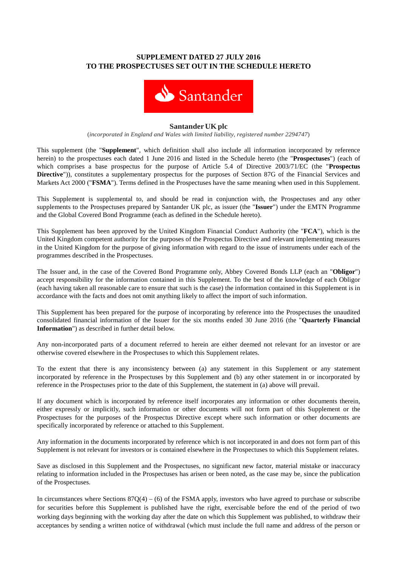# **SUPPLEMENT DATED 27 JULY 2016 TO THE PROSPECTUSES SET OUT IN THE SCHEDULE HERETO**



#### **SantanderUKplc**

(*incorporated in England and Wales with limited liability, registered number 2294747*)

This supplement (the "**Supplement**", which definition shall also include all information incorporated by reference herein) to the prospectuses each dated 1 June 2016 and listed in the Schedule hereto (the "**Prospectuses**") (each of which comprises a base prospectus for the purpose of Article 5.4 of Directive 2003/71/EC (the "**Prospectus Directive**")), constitutes a supplementary prospectus for the purposes of Section 87G of the Financial Services and Markets Act 2000 ("**FSMA**"). Terms defined in the Prospectuses have the same meaning when used in this Supplement.

This Supplement is supplemental to, and should be read in conjunction with, the Prospectuses and any other supplements to the Prospectuses prepared by Santander UK plc, as issuer (the "**Issuer**") under the EMTN Programme and the Global Covered Bond Programme (each as defined in the Schedule hereto).

This Supplement has been approved by the United Kingdom Financial Conduct Authority (the "**FCA**"), which is the United Kingdom competent authority for the purposes of the Prospectus Directive and relevant implementing measures in the United Kingdom for the purpose of giving information with regard to the issue of instruments under each of the programmes described in the Prospectuses.

The Issuer and, in the case of the Covered Bond Programme only, Abbey Covered Bonds LLP (each an "**Obligor**") accept responsibility for the information contained in this Supplement. To the best of the knowledge of each Obligor (each having taken all reasonable care to ensure that such is the case) the information contained in this Supplement is in accordance with the facts and does not omit anything likely to affect the import of such information.

This Supplement has been prepared for the purpose of incorporating by reference into the Prospectuses the unaudited consolidated financial information of the Issuer for the six months ended 30 June 2016 (the "**Quarterly Financial Information**") as described in further detail below.

Any non-incorporated parts of a document referred to herein are either deemed not relevant for an investor or are otherwise covered elsewhere in the Prospectuses to which this Supplement relates.

To the extent that there is any inconsistency between (a) any statement in this Supplement or any statement incorporated by reference in the Prospectuses by this Supplement and (b) any other statement in or incorporated by reference in the Prospectuses prior to the date of this Supplement, the statement in (a) above will prevail.

If any document which is incorporated by reference itself incorporates any information or other documents therein, either expressly or implicitly, such information or other documents will not form part of this Supplement or the Prospectuses for the purposes of the Prospectus Directive except where such information or other documents are specifically incorporated by reference or attached to this Supplement.

Any information in the documents incorporated by reference which is not incorporated in and does not form part of this Supplement is not relevant for investors or is contained elsewhere in the Prospectuses to which this Supplement relates.

Save as disclosed in this Supplement and the Prospectuses, no significant new factor, material mistake or inaccuracy relating to information included in the Prospectuses has arisen or been noted, as the case may be, since the publication of the Prospectuses.

In circumstances where Sections  $87Q(4) - (6)$  of the FSMA apply, investors who have agreed to purchase or subscribe for securities before this Supplement is published have the right, exercisable before the end of the period of two working days beginning with the working day after the date on which this Supplement was published, to withdraw their acceptances by sending a written notice of withdrawal (which must include the full name and address of the person or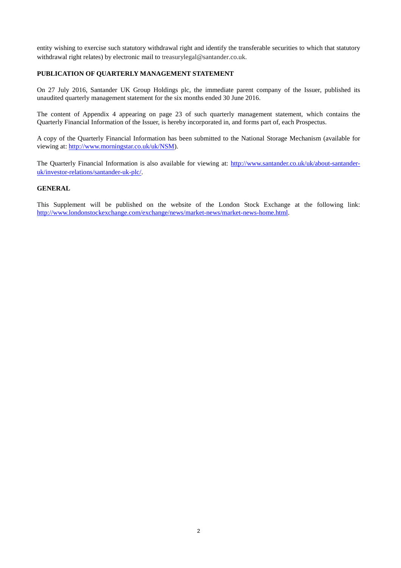entity wishing to exercise such statutory withdrawal right and identify the transferable securities to which that statutory withdrawal right relates) by electronic mail to treasurylegal@santander.co.uk.

### **PUBLICATION OF QUARTERLY MANAGEMENT STATEMENT**

On 27 July 2016, Santander UK Group Holdings plc, the immediate parent company of the Issuer, published its unaudited quarterly management statement for the six months ended 30 June 2016.

The content of Appendix 4 appearing on page 23 of such quarterly management statement, which contains the Quarterly Financial Information of the Issuer, is hereby incorporated in, and forms part of, each Prospectus.

A copy of the Quarterly Financial Information has been submitted to the National Storage Mechanism (available for viewing at: [http://www.morningstar.co.uk/uk/NSM\)](http://www.morningstar.co.uk/uk/NSM).

The Quarterly Financial Information is also available for viewing at: [http://www.santander.co.uk/uk/about-santander](http://www.santander.co.uk/uk/about-santander-uk/investor-relations/santander-uk-plc/)[uk/investor-relations/santander-uk-plc/.](http://www.santander.co.uk/uk/about-santander-uk/investor-relations/santander-uk-plc/)

### **GENERAL**

This Supplement will be published on the website of the London Stock Exchange at the following link: [http://www.londonstockexchange.com/exchange/news/market-news/market-news-home.html.](http://www.londonstockexchange.com/exchange/news/market-news/market-news-home.html)